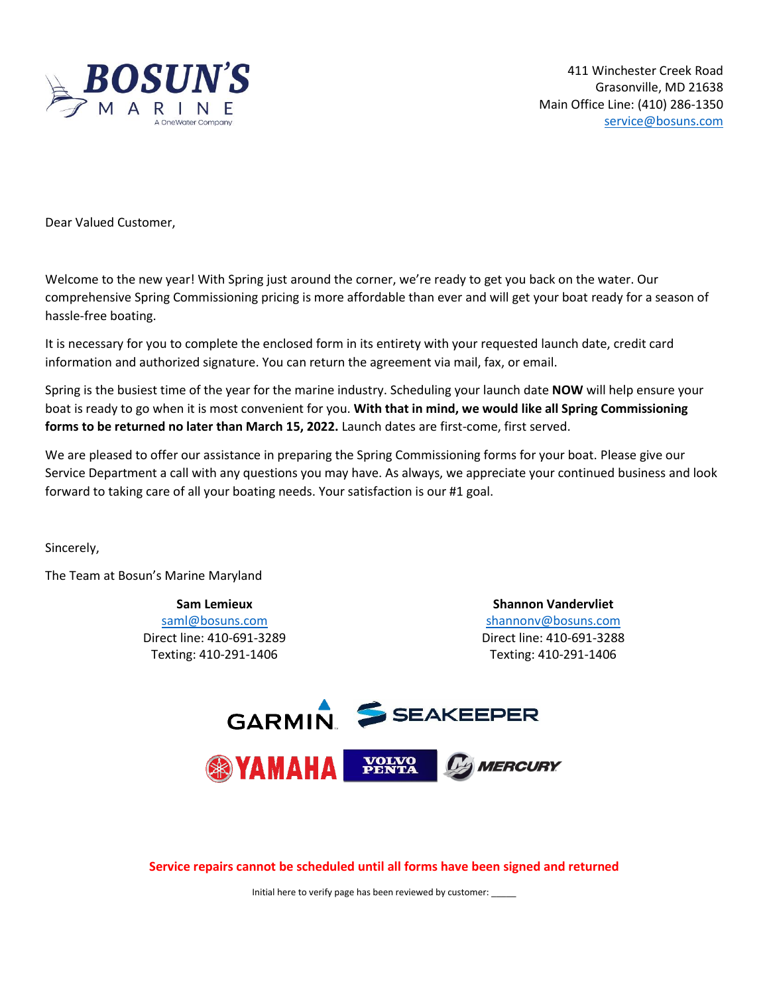

411 Winchester Creek Road Grasonville, MD 21638 Main Office Line: (410) 286-1350 [service@bosuns.com](mailto:service@bosuns.com)

Dear Valued Customer,

Welcome to the new year! With Spring just around the corner, we're ready to get you back on the water. Our comprehensive Spring Commissioning pricing is more affordable than ever and will get your boat ready for a season of hassle-free boating.

It is necessary for you to complete the enclosed form in its entirety with your requested launch date, credit card information and authorized signature. You can return the agreement via mail, fax, or email.

Spring is the busiest time of the year for the marine industry. Scheduling your launch date **NOW** will help ensure your boat is ready to go when it is most convenient for you. **With that in mind, we would like all Spring Commissioning forms to be returned no later than March 15, 2022.** Launch dates are first-come, first served.

We are pleased to offer our assistance in preparing the Spring Commissioning forms for your boat. Please give our Service Department a call with any questions you may have. As always, we appreciate your continued business and look forward to taking care of all your boating needs. Your satisfaction is our #1 goal.

Sincerely,

The Team at Bosun's Marine Maryland

**Sam Lemieux** [saml@bosuns.com](mailto:saml@bosuns.com) Direct line: 410-691-3289 Texting: 410-291-1406

**Shannon Vandervliet** [shannonv@bosuns.com](mailto:shannonv@bosuns.com) Direct line: 410-691-3288 Texting: 410-291-1406



**Service repairs cannot be scheduled until all forms have been signed and returned**

Initial here to verify page has been reviewed by customer: \_\_\_\_\_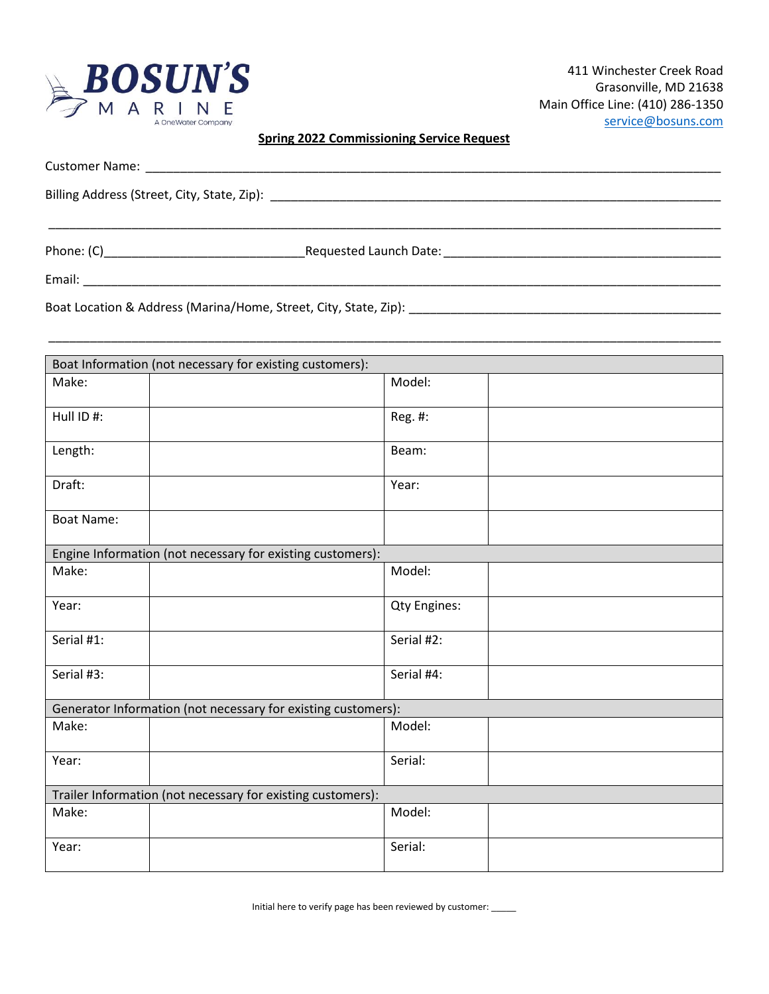

# **Spring 2022 Commissioning Service Request**

| Email: Email: And the state of the state of the state of the state of the state of the state of the state of the state of the state of the state of the state of the state of the state of the state of the state of the state |  |  |
|--------------------------------------------------------------------------------------------------------------------------------------------------------------------------------------------------------------------------------|--|--|

\_\_\_\_\_\_\_\_\_\_\_\_\_\_\_\_\_\_\_\_\_\_\_\_\_\_\_\_\_\_\_\_\_\_\_\_\_\_\_\_\_\_\_\_\_\_\_\_\_\_\_\_\_\_\_\_\_\_\_\_\_\_\_\_\_\_\_\_\_\_\_\_\_\_\_\_\_\_\_\_\_\_\_\_\_\_\_\_\_\_\_\_\_\_\_\_\_

Boat Location & Address (Marina/Home, Street, City, State, Zip): \_\_\_\_\_\_\_\_\_\_\_\_\_\_\_\_\_\_\_\_\_\_\_\_\_\_\_\_\_\_\_\_\_\_\_\_\_\_\_\_\_\_\_\_\_

| Boat Information (not necessary for existing customers):    |                                                               |  |  |
|-------------------------------------------------------------|---------------------------------------------------------------|--|--|
| Make:                                                       | Model:                                                        |  |  |
| Hull ID #:                                                  | Reg. #:                                                       |  |  |
| Length:                                                     | Beam:                                                         |  |  |
| Draft:                                                      | Year:                                                         |  |  |
| <b>Boat Name:</b>                                           |                                                               |  |  |
|                                                             | Engine Information (not necessary for existing customers):    |  |  |
| Make:                                                       | Model:                                                        |  |  |
| Year:                                                       | <b>Qty Engines:</b>                                           |  |  |
| Serial #1:                                                  | Serial #2:                                                    |  |  |
| Serial #3:                                                  | Serial #4:                                                    |  |  |
|                                                             | Generator Information (not necessary for existing customers): |  |  |
| Make:                                                       | Model:                                                        |  |  |
| Year:                                                       | Serial:                                                       |  |  |
| Trailer Information (not necessary for existing customers): |                                                               |  |  |
| Make:                                                       | Model:                                                        |  |  |
| Year:                                                       | Serial:                                                       |  |  |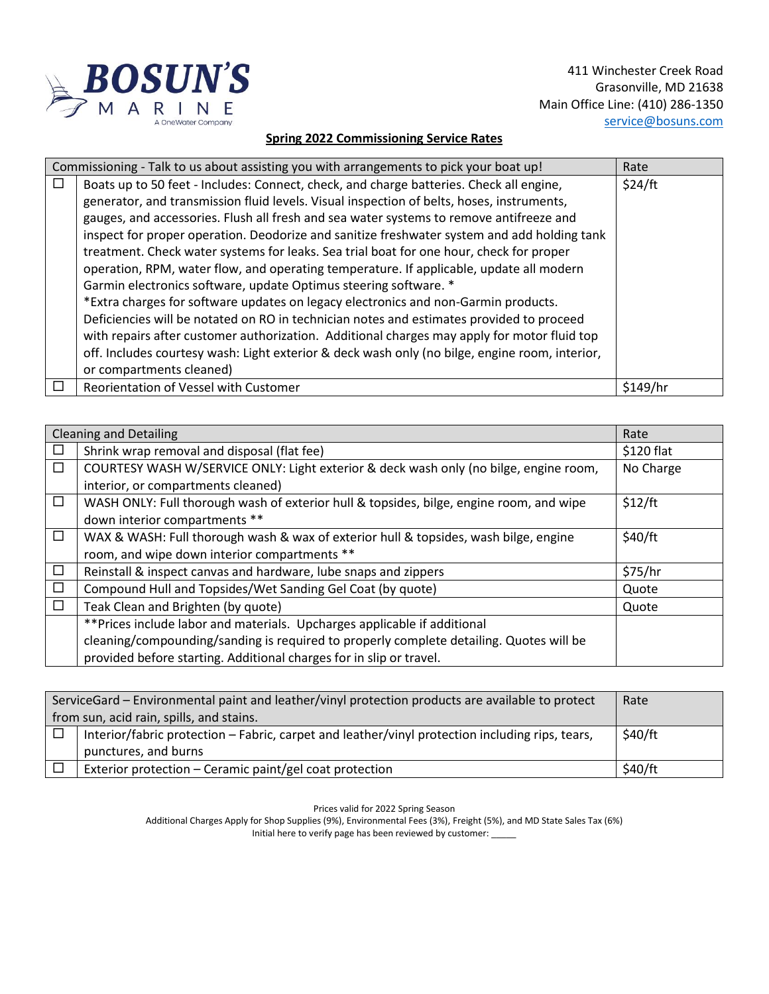

411 Winchester Creek Road Grasonville, MD 21638 Main Office Line: (410) 286-1350 [service@bosuns.com](mailto:service@bosuns.com)

### **Spring 2022 Commissioning Service Rates**

|        | Commissioning - Talk to us about assisting you with arrangements to pick your boat up!<br>Rate |          |  |
|--------|------------------------------------------------------------------------------------------------|----------|--|
| $\Box$ | Boats up to 50 feet - Includes: Connect, check, and charge batteries. Check all engine,        | \$24/ft  |  |
|        | generator, and transmission fluid levels. Visual inspection of belts, hoses, instruments,      |          |  |
|        | gauges, and accessories. Flush all fresh and sea water systems to remove antifreeze and        |          |  |
|        | inspect for proper operation. Deodorize and sanitize freshwater system and add holding tank    |          |  |
|        | treatment. Check water systems for leaks. Sea trial boat for one hour, check for proper        |          |  |
|        | operation, RPM, water flow, and operating temperature. If applicable, update all modern        |          |  |
|        | Garmin electronics software, update Optimus steering software. *                               |          |  |
|        | *Extra charges for software updates on legacy electronics and non-Garmin products.             |          |  |
|        | Deficiencies will be notated on RO in technician notes and estimates provided to proceed       |          |  |
|        | with repairs after customer authorization. Additional charges may apply for motor fluid top    |          |  |
|        | off. Includes courtesy wash: Light exterior & deck wash only (no bilge, engine room, interior, |          |  |
|        | or compartments cleaned)                                                                       |          |  |
|        | Reorientation of Vessel with Customer                                                          | \$149/hr |  |

|        | <b>Cleaning and Detailing</b><br>Rate                                                   |            |  |
|--------|-----------------------------------------------------------------------------------------|------------|--|
| $\Box$ | Shrink wrap removal and disposal (flat fee)                                             | \$120 flat |  |
| $\Box$ | COURTESY WASH W/SERVICE ONLY: Light exterior & deck wash only (no bilge, engine room,   | No Charge  |  |
|        | interior, or compartments cleaned)                                                      |            |  |
| □      | WASH ONLY: Full thorough wash of exterior hull & topsides, bilge, engine room, and wipe | \$12/ft    |  |
|        | down interior compartments **                                                           |            |  |
| □      | WAX & WASH: Full thorough wash & wax of exterior hull & topsides, wash bilge, engine    | \$40/ft    |  |
|        | room, and wipe down interior compartments **                                            |            |  |
| $\Box$ | Reinstall & inspect canvas and hardware, lube snaps and zippers                         | \$75/hr    |  |
| $\Box$ | Compound Hull and Topsides/Wet Sanding Gel Coat (by quote)                              | Quote      |  |
| □      | Teak Clean and Brighten (by quote)                                                      | Quote      |  |
|        | ** Prices include labor and materials. Upcharges applicable if additional               |            |  |
|        | cleaning/compounding/sanding is required to properly complete detailing. Quotes will be |            |  |
|        | provided before starting. Additional charges for in slip or travel.                     |            |  |

| ServiceGard - Environmental paint and leather/vinyl protection products are available to protect |                                                                                                 | Rate    |
|--------------------------------------------------------------------------------------------------|-------------------------------------------------------------------------------------------------|---------|
| from sun, acid rain, spills, and stains.                                                         |                                                                                                 |         |
|                                                                                                  | Interior/fabric protection – Fabric, carpet and leather/vinyl protection including rips, tears, | \$40/ft |
|                                                                                                  | punctures, and burns                                                                            |         |
|                                                                                                  | Exterior protection – Ceramic paint/gel coat protection                                         | \$40/ft |

Prices valid for 2022 Spring Season

Additional Charges Apply for Shop Supplies (9%), Environmental Fees (3%), Freight (5%), and MD State Sales Tax (6%)

Initial here to verify page has been reviewed by customer: \_\_\_\_\_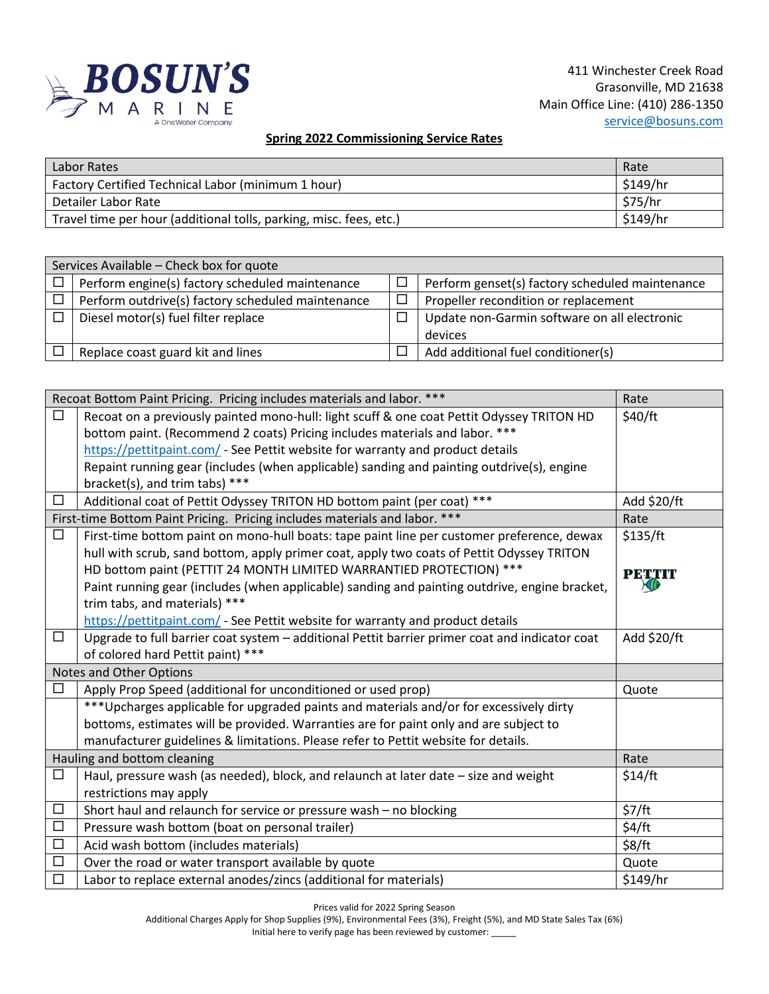

# **Spring 2022 Commissioning Service Rates**

| Labor Rates                                                        | Rate     |
|--------------------------------------------------------------------|----------|
| Factory Certified Technical Labor (minimum 1 hour)                 | \$149/hr |
| Detailer Labor Rate                                                | \$75/hr  |
| Travel time per hour (additional tolls, parking, misc. fees, etc.) | \$149/hr |

| Services Available - Check box for quote |                                                   |  |                                                 |
|------------------------------------------|---------------------------------------------------|--|-------------------------------------------------|
| $\Box$                                   | Perform engine(s) factory scheduled maintenance   |  | Perform genset(s) factory scheduled maintenance |
| $\Box$                                   | Perform outdrive(s) factory scheduled maintenance |  | Propeller recondition or replacement            |
| $\Box$                                   | Diesel motor(s) fuel filter replace               |  | Update non-Garmin software on all electronic    |
|                                          |                                                   |  | devices                                         |
|                                          | Replace coast guard kit and lines                 |  | Add additional fuel conditioner(s)              |

|                             | Recoat Bottom Paint Pricing. Pricing includes materials and labor. ***<br>Rate                 |               |  |  |
|-----------------------------|------------------------------------------------------------------------------------------------|---------------|--|--|
| $\Box$                      | Recoat on a previously painted mono-hull: light scuff & one coat Pettit Odyssey TRITON HD      | \$40/ft       |  |  |
|                             | bottom paint. (Recommend 2 coats) Pricing includes materials and labor. ***                    |               |  |  |
|                             | https://pettitpaint.com/ - See Pettit website for warranty and product details                 |               |  |  |
|                             | Repaint running gear (includes (when applicable) sanding and painting outdrive(s), engine      |               |  |  |
|                             | bracket(s), and trim tabs) ***                                                                 |               |  |  |
| $\Box$                      | Additional coat of Pettit Odyssey TRITON HD bottom paint (per coat) ***                        | Add \$20/ft   |  |  |
|                             | First-time Bottom Paint Pricing. Pricing includes materials and labor. ***                     | Rate          |  |  |
| □                           | First-time bottom paint on mono-hull boats: tape paint line per customer preference, dewax     | \$135/ft      |  |  |
|                             | hull with scrub, sand bottom, apply primer coat, apply two coats of Pettit Odyssey TRITON      |               |  |  |
|                             | HD bottom paint (PETTIT 24 MONTH LIMITED WARRANTIED PROTECTION) ***                            | <b>PETTIT</b> |  |  |
|                             | Paint running gear (includes (when applicable) sanding and painting outdrive, engine bracket,  |               |  |  |
|                             | trim tabs, and materials) ***                                                                  |               |  |  |
|                             | https://pettitpaint.com/ - See Pettit website for warranty and product details                 |               |  |  |
| □                           | Upgrade to full barrier coat system - additional Pettit barrier primer coat and indicator coat | Add \$20/ft   |  |  |
|                             | of colored hard Pettit paint) ***                                                              |               |  |  |
|                             | <b>Notes and Other Options</b>                                                                 |               |  |  |
| □                           | Apply Prop Speed (additional for unconditioned or used prop)                                   | Quote         |  |  |
|                             | *** Upcharges applicable for upgraded paints and materials and/or for excessively dirty        |               |  |  |
|                             | bottoms, estimates will be provided. Warranties are for paint only and are subject to          |               |  |  |
|                             | manufacturer guidelines & limitations. Please refer to Pettit website for details.             |               |  |  |
| Hauling and bottom cleaning |                                                                                                | Rate          |  |  |
| $\Box$                      | Haul, pressure wash (as needed), block, and relaunch at later date - size and weight           | \$14/ft       |  |  |
|                             | restrictions may apply                                                                         |               |  |  |
| $\Box$                      | Short haul and relaunch for service or pressure wash - no blocking                             | \$7/ft        |  |  |
| $\Box$                      | Pressure wash bottom (boat on personal trailer)                                                | \$4/ft        |  |  |
| $\Box$                      | Acid wash bottom (includes materials)                                                          | \$8/ft        |  |  |
| $\Box$                      | Over the road or water transport available by quote                                            | Quote         |  |  |
| $\Box$                      | Labor to replace external anodes/zincs (additional for materials)                              | \$149/hr      |  |  |

Prices valid for 2022 Spring Season

Additional Charges Apply for Shop Supplies (9%), Environmental Fees (3%), Freight (5%), and MD State Sales Tax (6%) Initial here to verify page has been reviewed by customer: \_\_\_\_\_